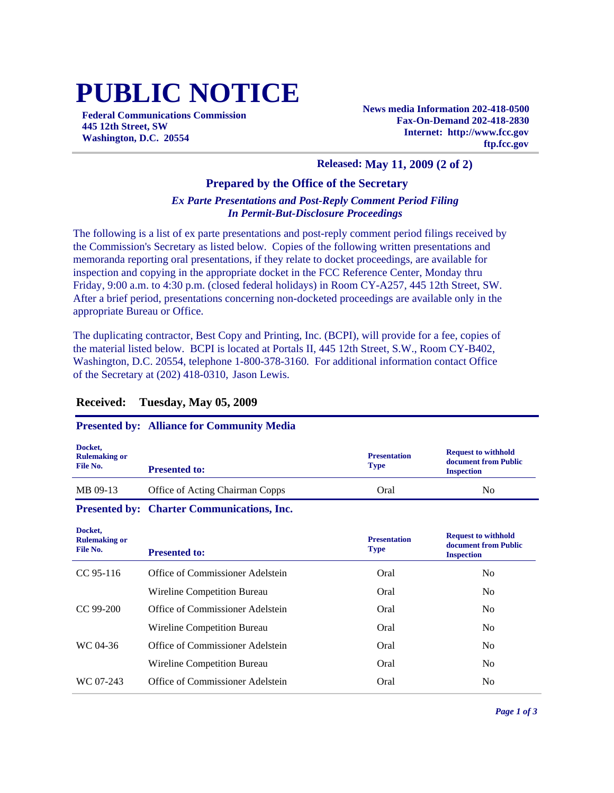# **PUBLIC NOTICE**

**Federal Communications Commission 445 12th Street, SW Washington, D.C. 20554**

**News media Information 202-418-0500 Fax-On-Demand 202-418-2830 Internet: http://www.fcc.gov ftp.fcc.gov**

### **Released: May 11, 2009 (2 of 2)**

### **Prepared by the Office of the Secretary**

### *Ex Parte Presentations and Post-Reply Comment Period Filing In Permit-But-Disclosure Proceedings*

The following is a list of ex parte presentations and post-reply comment period filings received by the Commission's Secretary as listed below. Copies of the following written presentations and memoranda reporting oral presentations, if they relate to docket proceedings, are available for inspection and copying in the appropriate docket in the FCC Reference Center, Monday thru Friday, 9:00 a.m. to 4:30 p.m. (closed federal holidays) in Room CY-A257, 445 12th Street, SW. After a brief period, presentations concerning non-docketed proceedings are available only in the appropriate Bureau or Office.

The duplicating contractor, Best Copy and Printing, Inc. (BCPI), will provide for a fee, copies of the material listed below. BCPI is located at Portals II, 445 12th Street, S.W., Room CY-B402, Washington, D.C. 20554, telephone 1-800-378-3160. For additional information contact Office of the Secretary at (202) 418-0310, Jason Lewis.

## **Received: Tuesday, May 05, 2009**

### **Presented by: Alliance for Community Media**

| Docket,<br><b>Rulemaking or</b><br>File No. | <b>Presented to:</b>            | <b>Presentation</b><br><b>Type</b> | <b>Request to withhold</b><br>document from Public<br><b>Inspection</b> |
|---------------------------------------------|---------------------------------|------------------------------------|-------------------------------------------------------------------------|
| MB 09-13                                    | Office of Acting Chairman Copps | Oral                               | N <sub>0</sub>                                                          |

#### **Presented by: Charter Communications, Inc.**

**Docket,** 

| поскет,<br><b>Rulemaking or</b><br>File No. | <b>Presented to:</b>             | <b>Presentation</b><br><b>Type</b> | <b>Request to withhold</b><br>document from Public<br><b>Inspection</b> |
|---------------------------------------------|----------------------------------|------------------------------------|-------------------------------------------------------------------------|
| $CC95-116$                                  | Office of Commissioner Adelstein | Oral                               | No.                                                                     |
|                                             | Wireline Competition Bureau      | Oral                               | No.                                                                     |
| $CC$ 99-200                                 | Office of Commissioner Adelstein | Oral                               | No.                                                                     |
|                                             | Wireline Competition Bureau      | Oral                               | No.                                                                     |
| WC 04-36                                    | Office of Commissioner Adelstein | Oral                               | No.                                                                     |
|                                             | Wireline Competition Bureau      | Oral                               | No.                                                                     |
| WC 07-243                                   | Office of Commissioner Adelstein | Oral                               | No.                                                                     |
|                                             |                                  |                                    |                                                                         |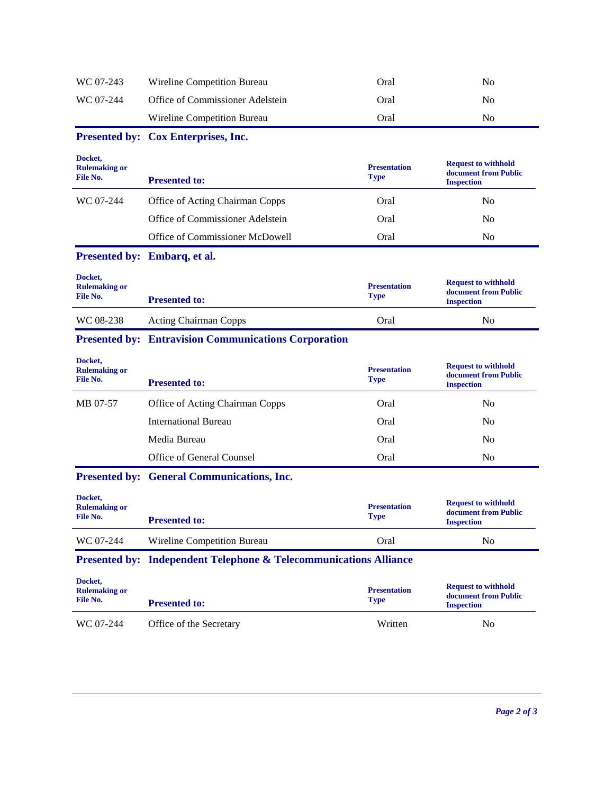| WC 07-243                                   | Wireline Competition Bureau                                                  | Oral                               | N <sub>o</sub>                                                          |
|---------------------------------------------|------------------------------------------------------------------------------|------------------------------------|-------------------------------------------------------------------------|
| WC 07-244                                   | Office of Commissioner Adelstein                                             | Oral                               | N <sub>0</sub>                                                          |
|                                             | Wireline Competition Bureau                                                  | Oral                               | N <sub>0</sub>                                                          |
|                                             | Presented by: Cox Enterprises, Inc.                                          |                                    |                                                                         |
| Docket,<br><b>Rulemaking or</b><br>File No. | <b>Presented to:</b>                                                         | <b>Presentation</b><br><b>Type</b> | <b>Request to withhold</b><br>document from Public<br><b>Inspection</b> |
| WC 07-244                                   | Office of Acting Chairman Copps                                              | Oral                               | N <sub>0</sub>                                                          |
|                                             | Office of Commissioner Adelstein                                             | Oral                               | N <sub>0</sub>                                                          |
|                                             | Office of Commissioner McDowell                                              | Oral                               | N <sub>0</sub>                                                          |
|                                             | Presented by: Embarq, et al.                                                 |                                    |                                                                         |
| Docket,<br><b>Rulemaking or</b><br>File No. | <b>Presented to:</b>                                                         | <b>Presentation</b><br><b>Type</b> | <b>Request to withhold</b><br>document from Public<br><b>Inspection</b> |
| WC 08-238                                   | <b>Acting Chairman Copps</b>                                                 | Oral                               | N <sub>0</sub>                                                          |
|                                             | <b>Presented by: Entravision Communications Corporation</b>                  |                                    |                                                                         |
|                                             |                                                                              |                                    |                                                                         |
| Docket.<br><b>Rulemaking or</b><br>File No. | <b>Presented to:</b>                                                         | <b>Presentation</b><br><b>Type</b> | <b>Request to withhold</b><br>document from Public<br><b>Inspection</b> |
| MB 07-57                                    | Office of Acting Chairman Copps                                              | Oral                               | N <sub>0</sub>                                                          |
|                                             | <b>International Bureau</b>                                                  | Oral                               | No                                                                      |
|                                             | Media Bureau                                                                 | Oral                               | N <sub>0</sub>                                                          |
|                                             | Office of General Counsel                                                    | Oral                               | N <sub>0</sub>                                                          |
|                                             | <b>Presented by: General Communications, Inc.</b>                            |                                    |                                                                         |
| Docket,<br><b>Rulemaking or</b><br>File No. | <b>Presented to:</b>                                                         | <b>Presentation</b><br><b>Type</b> | <b>Request to withhold</b><br>document from Public<br><b>Inspection</b> |
| WC 07-244                                   | Wireline Competition Bureau                                                  | Oral                               | N <sub>0</sub>                                                          |
|                                             | <b>Presented by: Independent Telephone &amp; Telecommunications Alliance</b> |                                    |                                                                         |
| Docket,<br><b>Rulemaking or</b><br>File No. | <b>Presented to:</b>                                                         | <b>Presentation</b><br><b>Type</b> | <b>Request to withhold</b><br>document from Public<br><b>Inspection</b> |